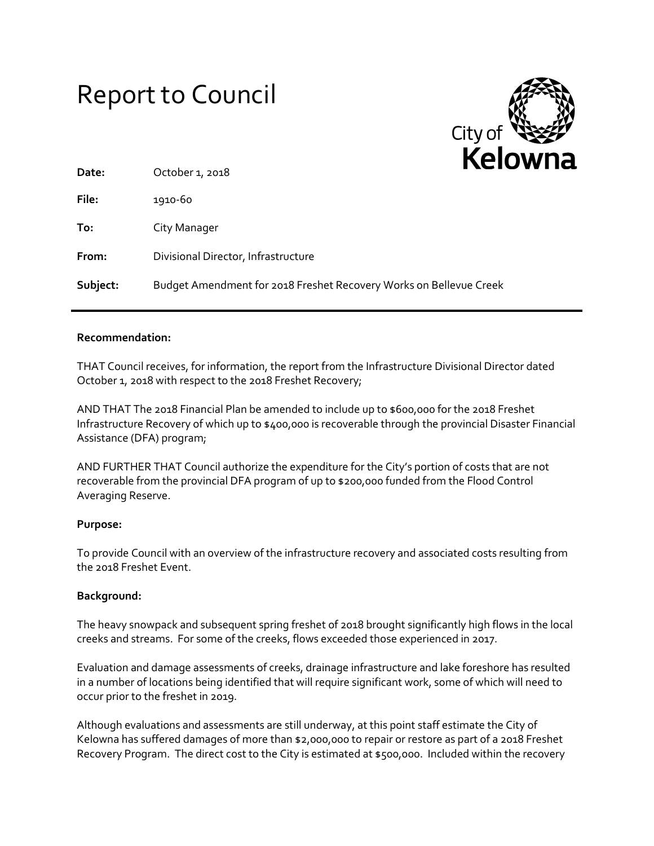# Report to Council



| Date:    | October 1, 2018                                                    |  |
|----------|--------------------------------------------------------------------|--|
| File:    | 1910-60                                                            |  |
| To:      | City Manager                                                       |  |
| From:    | Divisional Director, Infrastructure                                |  |
| Subject: | Budget Amendment for 2018 Freshet Recovery Works on Bellevue Creek |  |

### **Recommendation:**

THAT Council receives, for information, the report from the Infrastructure Divisional Director dated October 1, 2018 with respect to the 2018 Freshet Recovery;

AND THAT The 2018 Financial Plan be amended to include up to \$600,000 for the 2018 Freshet Infrastructure Recovery of which up to \$400,000 is recoverable through the provincial Disaster Financial Assistance (DFA) program;

AND FURTHER THAT Council authorize the expenditure for the City's portion of costs that are not recoverable from the provincial DFA program of up to \$200,000 funded from the Flood Control Averaging Reserve.

### **Purpose:**

To provide Council with an overview of the infrastructure recovery and associated costs resulting from the 2018 Freshet Event.

### **Background:**

The heavy snowpack and subsequent spring freshet of 2018 brought significantly high flows in the local creeks and streams. For some of the creeks, flows exceeded those experienced in 2017.

Evaluation and damage assessments of creeks, drainage infrastructure and lake foreshore has resulted in a number of locations being identified that will require significant work, some of which will need to occur prior to the freshet in 2019.

Although evaluations and assessments are still underway, at this point staff estimate the City of Kelowna has suffered damages of more than \$2,000,000 to repair or restore as part of a 2018 Freshet Recovery Program. The direct cost to the City is estimated at \$500,000. Included within the recovery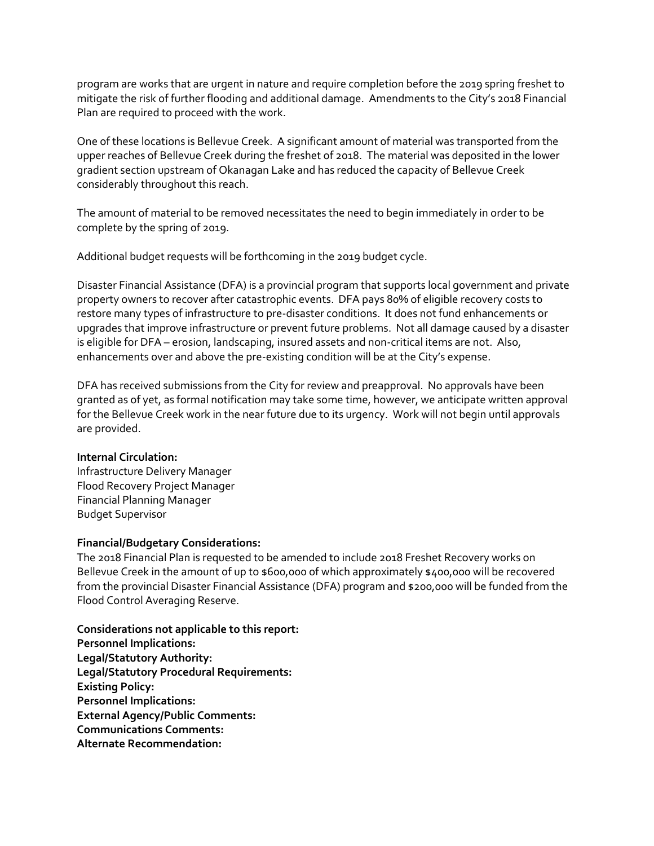program are works that are urgent in nature and require completion before the 2019 spring freshet to mitigate the risk of further flooding and additional damage. Amendments to the City's 2018 Financial Plan are required to proceed with the work.

One of these locations is Bellevue Creek. A significant amount of material was transported from the upper reaches of Bellevue Creek during the freshet of 2018. The material was deposited in the lower gradient section upstream of Okanagan Lake and has reduced the capacity of Bellevue Creek considerably throughout this reach.

The amount of material to be removed necessitates the need to begin immediately in order to be complete by the spring of 2019.

Additional budget requests will be forthcoming in the 2019 budget cycle.

Disaster Financial Assistance (DFA) is a provincial program that supports local government and private property owners to recover after catastrophic events. DFA pays 80% of eligible recovery costs to restore many types of infrastructure to pre-disaster conditions. It does not fund enhancements or upgrades that improve infrastructure or prevent future problems. Not all damage caused by a disaster is eligible for DFA – erosion, landscaping, insured assets and non-critical items are not. Also, enhancements over and above the pre-existing condition will be at the City's expense.

DFA has received submissions from the City for review and preapproval. No approvals have been granted as of yet, as formal notification may take some time, however, we anticipate written approval for the Bellevue Creek work in the near future due to its urgency. Work will not begin until approvals are provided.

### **Internal Circulation:**

Infrastructure Delivery Manager Flood Recovery Project Manager Financial Planning Manager Budget Supervisor

## **Financial/Budgetary Considerations:**

The 2018 Financial Plan is requested to be amended to include 2018 Freshet Recovery works on Bellevue Creek in the amount of up to \$600,000 of which approximately \$400,000 will be recovered from the provincial Disaster Financial Assistance (DFA) program and \$200,000 will be funded from the Flood Control Averaging Reserve.

**Considerations not applicable to this report: Personnel Implications: Legal/Statutory Authority: Legal/Statutory Procedural Requirements: Existing Policy: Personnel Implications: External Agency/Public Comments: Communications Comments: Alternate Recommendation:**